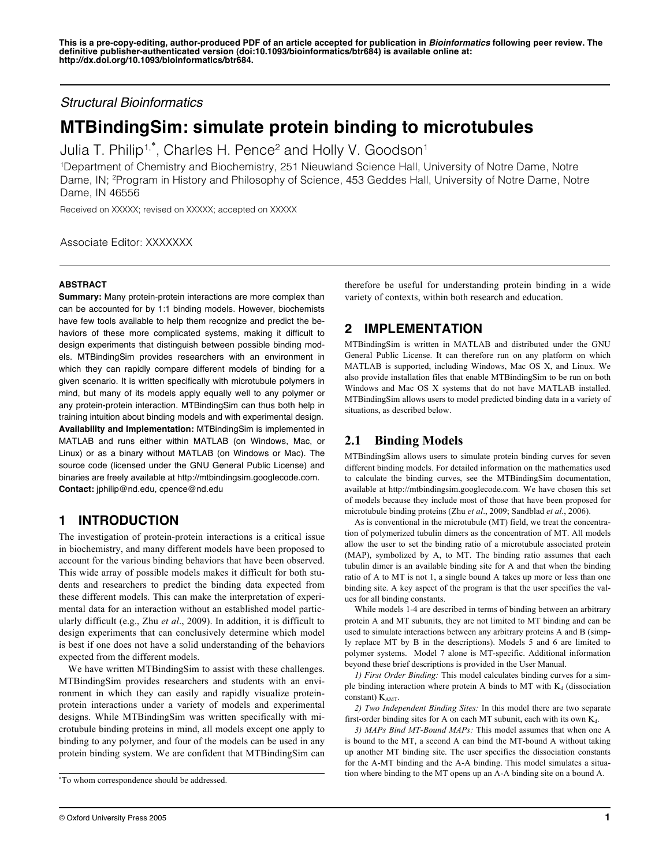*Structural Bioinformatics*

# **MTBindingSim: simulate protein binding to microtubules**

Julia T. Philip<sup>1,\*</sup>, Charles H. Pence<sup>2</sup> and Holly V. Goodson<sup>1</sup>

1 Department of Chemistry and Biochemistry, 251 Nieuwland Science Hall, University of Notre Dame, Notre Dame, IN; <sup>2</sup>Program in History and Philosophy of Science, 453 Geddes Hall, University of Notre Dame, Notre Dame, IN 46556

Received on XXXXX; revised on XXXXX; accepted on XXXXX

Associate Editor: XXXXXXX

#### **ABSTRACT**

**Summary:** Many protein-protein interactions are more complex than can be accounted for by 1:1 binding models. However, biochemists have few tools available to help them recognize and predict the behaviors of these more complicated systems, making it difficult to design experiments that distinguish between possible binding models. MTBindingSim provides researchers with an environment in which they can rapidly compare different models of binding for a given scenario. It is written specifically with microtubule polymers in mind, but many of its models apply equally well to any polymer or any protein-protein interaction. MTBindingSim can thus both help in training intuition about binding models and with experimental design. **Availability and Implementation:** MTBindingSim is implemented in MATLAB and runs either within MATLAB (on Windows, Mac, or Linux) or as a binary without MATLAB (on Windows or Mac). The source code (licensed under the GNU General Public License) and binaries are freely available at http://mtbindingsim.googlecode.com. **Contact:** jphilip@nd.edu, cpence@nd.edu

## **1 INTRODUCTION**

The investigation of protein-protein interactions is a critical issue in biochemistry, and many different models have been proposed to account for the various binding behaviors that have been observed. This wide array of possible models makes it difficult for both students and researchers to predict the binding data expected from these different models. This can make the interpretation of experimental data for an interaction without an established model particularly difficult (e.g., Zhu *et al*., 2009). In addition, it is difficult to design experiments that can conclusively determine which model is best if one does not have a solid understanding of the behaviors expected from the different models.

We have written MTBindingSim to assist with these challenges. MTBindingSim provides researchers and students with an environment in which they can easily and rapidly visualize proteinprotein interactions under a variety of models and experimental designs. While MTBindingSim was written specifically with microtubule binding proteins in mind, all models except one apply to binding to any polymer, and four of the models can be used in any protein binding system. We are confident that MTBindingSim can therefore be useful for understanding protein binding in a wide variety of contexts, within both research and education.

# **2 IMPLEMENTATION**

MTBindingSim is written in MATLAB and distributed under the GNU General Public License. It can therefore run on any platform on which MATLAB is supported, including Windows, Mac OS X, and Linux. We also provide installation files that enable MTBindingSim to be run on both Windows and Mac OS X systems that do not have MATLAB installed. MTBindingSim allows users to model predicted binding data in a variety of situations, as described below.

## **2.1 Binding Models**

MTBindingSim allows users to simulate protein binding curves for seven different binding models. For detailed information on the mathematics used to calculate the binding curves, see the MTBindingSim documentation, available at http://mtbindingsim.googlecode.com. We have chosen this set of models because they include most of those that have been proposed for microtubule binding proteins (Zhu *et al*., 2009; Sandblad *et al.*, 2006).

As is conventional in the microtubule (MT) field, we treat the concentration of polymerized tubulin dimers as the concentration of MT. All models allow the user to set the binding ratio of a microtubule associated protein (MAP), symbolized by A, to MT. The binding ratio assumes that each tubulin dimer is an available binding site for A and that when the binding ratio of A to MT is not 1, a single bound A takes up more or less than one binding site. A key aspect of the program is that the user specifies the values for all binding constants.

While models 1-4 are described in terms of binding between an arbitrary protein A and MT subunits, they are not limited to MT binding and can be used to simulate interactions between any arbitrary proteins A and B (simply replace MT by B in the descriptions). Models 5 and 6 are limited to polymer systems. Model 7 alone is MT-specific. Additional information beyond these brief descriptions is provided in the User Manual.

*1) First Order Binding:* This model calculates binding curves for a simple binding interaction where protein A binds to MT with  $K_d$  (dissociation constant)  $K<sub>AMT</sub>$ .

*2) Two Independent Binding Sites:* In this model there are two separate first-order binding sites for A on each MT subunit, each with its own  $K_d$ .

*3) MAPs Bind MT-Bound MAPs:* This model assumes that when one A is bound to the MT, a second A can bind the MT-bound A without taking up another MT binding site. The user specifies the dissociation constants for the A-MT binding and the A-A binding. This model simulates a situation where binding to the MT opens up an A-A binding site on a bound A.

<sup>\*</sup>To whom correspondence should be addressed.